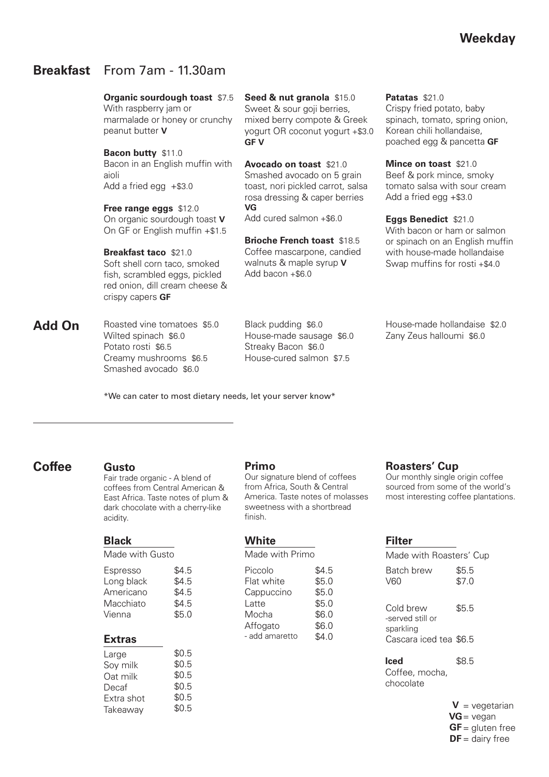# **Breakfast** From 7am - 11.30am

peanut butter **V**

**Organic sourdough toast** \$7.5 With raspberry jam or marmalade or honey or crunchy

**Bacon butty** \$11.0 Bacon in an English muffin with aioli Add a fried egg +\$3.0

**Free range eggs** \$12.0 On organic sourdough toast **V** On GF or English muffin +\$1.5

**Breakfast taco** \$21.0 Soft shell corn taco, smoked fish, scrambled eggs, pickled red onion, dill cream cheese & crispy capers **GF**

Roasted vine tomatoes \$5.0 Wilted spinach \$6.0 Potato rosti \$6.5 Creamy mushrooms \$6.5 Smashed avocado \$6.0 **Add On**

**Seed & nut granola** \$15.0 Sweet & sour goil berries. mixed berry compote & Greek yogurt OR coconut yogurt +\$3.0 **GF V**

**Avocado on toast** \$21.0 Smashed avocado on 5 grain toast, nori pickled carrot, salsa rosa dressing & caper berries **VG**

Add cured salmon +\$6.0

**Brioche French toast** \$18.5 Coffee mascarpone, candied walnuts & maple syrup **V** Add bacon  $+$ \$6.0

Black pudding \$6.0 House-made sausage \$6.0 Streaky Bacon \$6.0 House-cured salmon \$7.5

\*We can cater to most dietary needs, let your server know\*

# **Coffee**

## **Gusto**

Fair trade organic - A blend of coffees from Central American & East Africa. Taste notes of plum & dark chocolate with a cherry-like acidity.

## **Black**

Made with Gusto

Espresso Long black Americano Macchiato Vienna \$4.5 \$4.5 \$4.5 \$4.5  $$5.0$ 

# **Extras**

| Large      | \$0.5 |
|------------|-------|
| Soy milk   | \$0.5 |
| Oat milk   | \$0.5 |
| Decaf      | \$0.5 |
| Extra shot | \$0.5 |
| Takeaway   | \$0.5 |
|            |       |

## **Primo**

Our signature blend of coffees from Africa, South & Central America. Taste notes of molasses sweetness with a shortbread finish.

## **White**

Made with Primo

| Piccolo        | \$4.5 |
|----------------|-------|
| Flat white     | \$5.0 |
| Cappuccino     | \$5.0 |
| Latte          | \$5.0 |
| Mocha          | \$6.0 |
| Affogato       | \$6.0 |
| - add amaretto | \$4.0 |

**Patatas** \$21.0 Crispy fried potato, baby spinach, tomato, spring onion, Korean chili hollandaise, poached egg & pancetta **GF**

**Mince on toast** \$21.0 Beef & pork mince, smoky tomato salsa with sour cream Add a fried egg +\$3.0

**Eggs Benedict** \$21.0 With bacon or ham or salmon or spinach on an English muffin with house-made hollandaise Swap muffins for rosti +\$4.0

House-made hollandaise \$2.0 Zany Zeus halloumi \$6.0

# **Roasters' Cup**

Our monthly single origin coffee sourced from some of the world's most interesting coffee plantations.

### **Filter**

Made with Roasters' Cup Batch brew V60 Cold brew -served still or sparkling \$4.0 Cascara iced tea \$6.5 \$5.5 \$7.0 \$5.5

**Iced** Coffee, mocha, chocolate \$8.5

> $V = v$ egetarian  $VG = v$ egan  $GF =$  gluten free  $DF =$  dairy free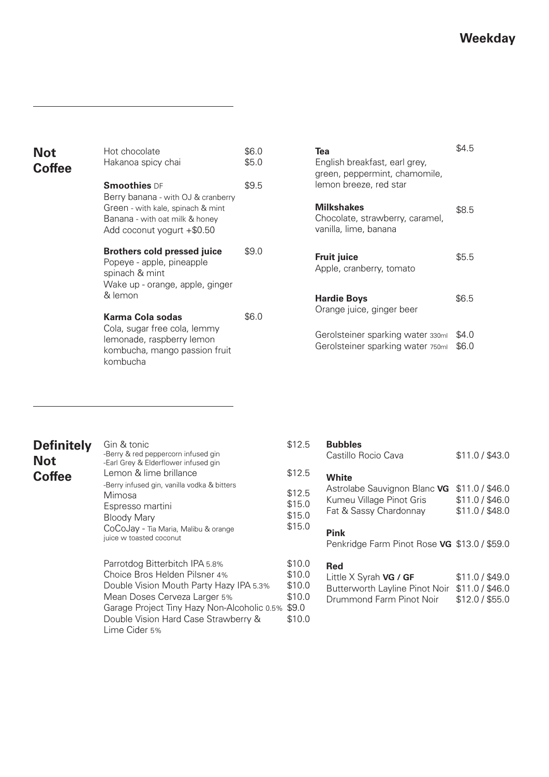\$4.0 \$6.0

\$6.5

\$5.5

\$8.5

\$4.5

| <b>Not</b>    | Hot chocolate                                                                                                                           | \$6.0 | Tea                                                                           |
|---------------|-----------------------------------------------------------------------------------------------------------------------------------------|-------|-------------------------------------------------------------------------------|
| <b>Coffee</b> | Hakanoa spicy chai                                                                                                                      | \$5.0 | English breakfast, earl grey,<br>green, peppermint, chamomile,                |
|               | <b>Smoothies DF</b>                                                                                                                     | \$9.5 | lemon breeze, red star                                                        |
|               | Berry banana - with OJ & cranberry<br>Green - with kale, spinach & mint<br>Banana - with oat milk & honey<br>Add coconut yogurt +\$0.50 |       | <b>Milkshakes</b><br>Chocolate, strawberry, caramel,<br>vanilla, lime, banana |
|               | <b>Brothers cold pressed juice</b><br>Popeye - apple, pineapple<br>spinach & mint<br>Wake up - orange, apple, ginger                    | \$9.0 | <b>Fruit juice</b><br>Apple, cranberry, tomato                                |
|               | & lemon                                                                                                                                 |       | <b>Hardie Boys</b>                                                            |
|               | Karma Cola sodas<br>Cola, sugar free cola, lemmy<br>lemonade, raspberry lemon<br>kombucha, mango passion fruit<br>kombucha              | \$6.0 | Orange juice, ginger beer                                                     |
|               |                                                                                                                                         |       | Gerolsteiner sparking water 330ml<br>Gerolsteiner sparking water 750ml        |

| <b>Definitely</b> |  |
|-------------------|--|
| <b>Not</b>        |  |
| <b>Coffee</b>     |  |

Parrotdog Bitterbitch IPA 5.8% Choice Bros Helden Pilsner 4% Double Vision Mouth Party Hazy IPA 5.3% Mean Doses Cerveza Larger 5% Gin & tonic -Berry & red peppercorn infused gin -Earl Grey & Elderflower infused gin Lemon & lime brillance -Berry infused gin, vanilla vodka & bitters Mimosa Espresso martini Bloody Mary CoCoJay - Tia Maria, Malibu & orange juice w toasted coconut

### Garage Project Tiny Hazy Non-Alcoholic 0.5% \$9.0 Double Vision Hard Case Strawberry & Lime Cider 5% \$10.0 \$10.0 \$10.0 \$10.0

#### **Bubbles** \$12.5

|                            | Castillo Rocio Cava                                                                | \$11.0 / \$43.0                                       |
|----------------------------|------------------------------------------------------------------------------------|-------------------------------------------------------|
| \$12.5                     | White                                                                              |                                                       |
| \$12.5<br>\$15.0<br>\$15.0 | Astrolabe Sauvignon Blanc VG<br>Kumeu Village Pinot Gris<br>Fat & Sassy Chardonnay | \$11.0 / \$46.0<br>\$11.0 / \$46.0<br>\$11.0 / \$48.0 |
| \$15.0                     | Pink<br>Penkridge Farm Pinot Rose VG \$13.0 / \$59.0                               |                                                       |

#### **Red** \$10.0

| Little X Syrah VG / GF                         | \$11.0 / \$49.0 |
|------------------------------------------------|-----------------|
| Butterworth Layline Pinot Noir \$11.0 / \$46.0 |                 |
| Drummond Farm Pinot Noir                       | \$12.0 / \$55.0 |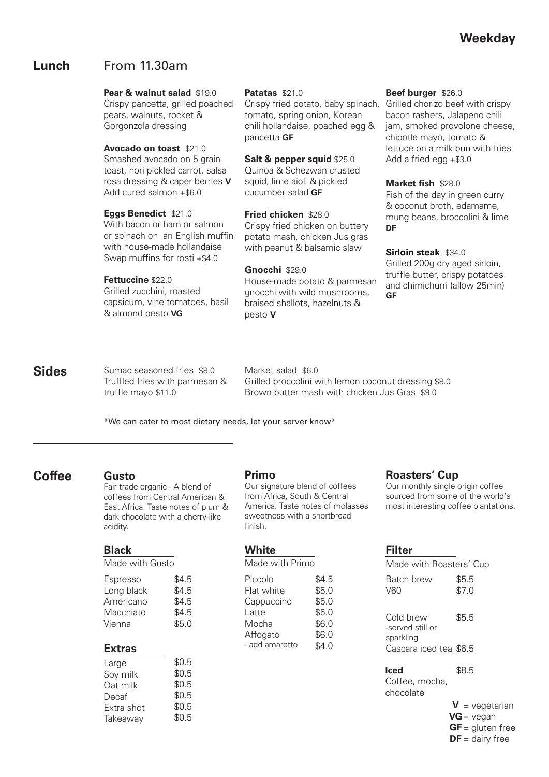# **Lunch** From 11.30am

### **Pear & walnut salad** \$19.0

Crispy pancetta, grilled poached pears, walnuts, rocket & Gorgonzola dressing

### **Avocado on toast** \$21.0

Smashed avocado on 5 grain toast, nori pickled carrot, salsa rosa dressing & caper berries **V** Add cured salmon +\$6.0

### **Eggs Benedict** \$21.0

With bacon or ham or salmon or spinach on an English muffin with house-made hollandaise Swap muffins for rosti +\$4.0

### **Fettuccine** \$22.0

Grilled zucchini, roasted capsicum, vine tomatoes, basil & almond pesto **VG** 

### **Patatas** \$21.0

Crispy fried potato, baby spinach, tomato, spring onion, Korean chili hollandaise, poached egg & pancetta **GF**

### **Salt & pepper squid** \$25.0

Quinoa & Schezwan crusted squid, lime aioli & pickled cucumber salad **GF**

**Fried chicken** \$28.0 Crispy fried chicken on buttery potato mash, chicken Jus gras with peanut & balsamic slaw

### **Gnocchi** \$29.0

House-made potato & parmesan gnocchi with wild mushrooms, braised shallots, hazelnuts & pesto **V**

### **Beef burger** \$26.0

Grilled chorizo beef with crispy bacon rashers, Jalapeno chili jam, smoked provolone cheese, chipotle mayo, tomato & lettuce on a milk bun with fries Add a fried egg +\$3.0

### **Market fish** \$28.0

Fish of the day in green curry & coconut broth, edamame, mung beans, broccolini & lime **DF**

### **Sirloin steak** \$34.0

Grilled 200g dry aged sirloin, truffle butter, crispy potatoes and chimichurri (allow 25min) **GF**

#### Sumac seasoned fries \$8.0 Truffled fries with parmesan & truffle mayo \$11.0 **Sides**

Market salad \$6.0 Grilled broccolini with lemon coconut dressing \$8.0 Brown butter mash with chicken Jus Gras \$9.0

\*We can cater to most dietary needs, let your server know\*

# **Coffee**

## **Gusto**

Fair trade organic - A blend of coffees from Central American & East Africa. Taste notes of plum & dark chocolate with a cherry-like acidity.

## **Black**

Made with Gusto

| Espresso   | \$4.5 |
|------------|-------|
| Long black | \$4.5 |
| Americano  | \$4.5 |
| Macchiato  | \$4.5 |
| Vienna     | \$5.0 |
|            |       |

## **Extras**

| Large      | \$0.5 |
|------------|-------|
| Soy milk   | \$0.5 |
| Oat milk   | \$0.5 |
| Decaf      | \$0.5 |
| Extra shot | \$0.5 |
| Takeaway   | \$0.5 |
|            |       |

## **Primo**

Our signature blend of coffees from Africa, South & Central America. Taste notes of molasses sweetness with a shortbread finish.

## **White**

Made with Primo

| Piccolo        | \$4.5 |
|----------------|-------|
| Flat white     | \$5.0 |
| Cappuccino     | \$5.0 |
| Latte          | \$5.0 |
| Mocha          | \$6.0 |
| Affogato       | \$6.0 |
| - add amaretto | \$4.0 |

# **Roasters' Cup**

Our monthly single origin coffee sourced from some of the world's most interesting coffee plantations.

# **Filter**

|                         | Made with Roasters' Cup                    |                |  |
|-------------------------|--------------------------------------------|----------------|--|
| \$4.5<br>\$5.0<br>\$5.0 | Batch brew<br>V60                          | \$5.5<br>\$7.0 |  |
| \$5.0<br>\$6.0<br>\$6.0 | Cold brew<br>-served still or<br>sparkling | \$5.5          |  |
| \$4.0                   | Cascara iced tea \$6.5                     |                |  |
|                         | lced                                       | B8 5           |  |

Coffee, mocha, chocolate

> $V = v$ egetarian  $VG = v$ egan  $GF =$  gluten free  $DF =$  dairy free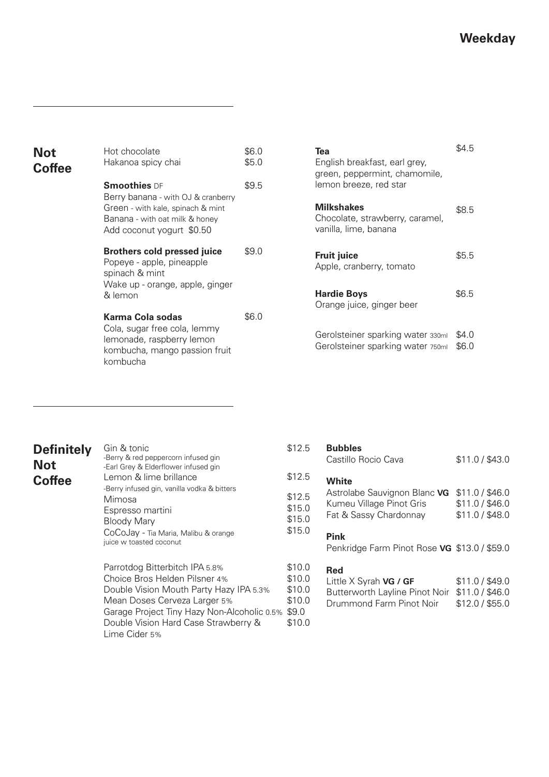| Hot chocolate<br>Hakanoa spicy chai                                                              | \$6.0<br>\$5.0                                                                                        | Tea<br>English breakfast, earl grey,<br>green, peppermint, chamomile,         | \$4.5                     |
|--------------------------------------------------------------------------------------------------|-------------------------------------------------------------------------------------------------------|-------------------------------------------------------------------------------|---------------------------|
| <b>Smoothies</b> DF                                                                              | \$9.5                                                                                                 | lemon breeze, red star                                                        |                           |
| Green - with kale, spinach & mint<br>Banana - with oat milk & honey<br>Add coconut yogurt \$0.50 |                                                                                                       | <b>Milkshakes</b><br>Chocolate, strawberry, caramel,<br>vanilla, lime, banana | \$8.5                     |
| <b>Brothers cold pressed juice</b><br>Popeye - apple, pineapple<br>spinach & mint                | \$9.0                                                                                                 | <b>Fruit juice</b><br>Apple, cranberry, tomato                                | \$5.5                     |
| & lemon                                                                                          |                                                                                                       | <b>Hardie Boys</b>                                                            | \$6.5                     |
| Karma Cola sodas                                                                                 | \$6.0                                                                                                 |                                                                               |                           |
| lemonade, raspberry lemon<br>kombucha, mango passion fruit<br>kombucha                           |                                                                                                       | Gerolsteiner sparking water 330ml<br>Gerolsteiner sparking water 750ml        | \$4.0<br>\$6.0            |
|                                                                                                  | Berry banana - with OJ & cranberry<br>Wake up - orange, apple, ginger<br>Cola, sugar free cola, lemmy |                                                                               | Orange juice, ginger beer |

| Tea<br>English breakfast, earl grey,<br>green, peppermint, chamomile,<br>lemon breeze, red star | 964 h |
|-------------------------------------------------------------------------------------------------|-------|
| <b>Milkshakes</b><br>Chocolate, strawberry, caramel,<br>vanilla, lime, banana                   | \$8.5 |
| <b>Fruit juice</b><br>Apple, cranberry, tomato                                                  | \$5.5 |
| <b>Hardie Boys</b><br>Orange juice, ginger beer                                                 | \$6.5 |
| Gerolsteiner sparking water 330ml                                                               |       |

| <b>Definitely</b> | Gin & tonic                                                                                                                                                                               | \$12.                                     |
|-------------------|-------------------------------------------------------------------------------------------------------------------------------------------------------------------------------------------|-------------------------------------------|
| <b>Not</b>        | -Berry & red peppercorn infused gin<br>-Earl Grey & Elderflower infused gin                                                                                                               |                                           |
| <b>Coffee</b>     | Lemon & lime brillance                                                                                                                                                                    | \$12.                                     |
|                   | -Berry infused gin, vanilla vodka & bitters<br>Mimosa<br>Espresso martini<br>Bloody Mary<br>CoCoJay - Tia Maria, Malibu & orange<br>juice w toasted coconut                               | \$12.<br>\$15.<br>\$15.<br>\$15.          |
|                   | Parrotdog Bitterbitch IPA 5.8%<br>Choice Bros Helden Pilsner 4%<br>Double Vision Mouth Party Hazy IPA 5.3%<br>Mean Doses Cerveza Larger 5%<br>Garage Project Tiny Hazy Non-Alcoholic 0.5% | \$10.<br>\$10.<br>\$10.<br>\$10.<br>\$9.0 |

Lime Cider 5%

Double Vision Hard Case Strawberry &

#### **Bubbles** \$12.5

|        | Castillo Rocio Cava                          | \$11.0 / \$43.0 |
|--------|----------------------------------------------|-----------------|
| \$12.5 | White                                        |                 |
| \$12.5 | Astrolabe Sauvignon Blanc VG                 | \$11.0 / \$46.0 |
| \$15.0 | Kumeu Village Pinot Gris                     | \$11.0 / \$46.0 |
| \$15.0 | Fat & Sassy Chardonnay                       | \$11.0 / \$48.0 |
| \$15.0 |                                              |                 |
|        | <b>Pink</b>                                  |                 |
|        | Penkridge Farm Pinot Rose VG \$13.0 / \$59.0 |                 |
|        |                                              |                 |

#### **Red** \$10.0 \$10.0

\$10.0 \$10.0

\$10.0

| Little X Syrah VG / GF                         | \$11.0 / \$49.0 |
|------------------------------------------------|-----------------|
| Butterworth Layline Pinot Noir \$11.0 / \$46.0 |                 |
| Drummond Farm Pinot Noir                       | \$12.0 / \$55.0 |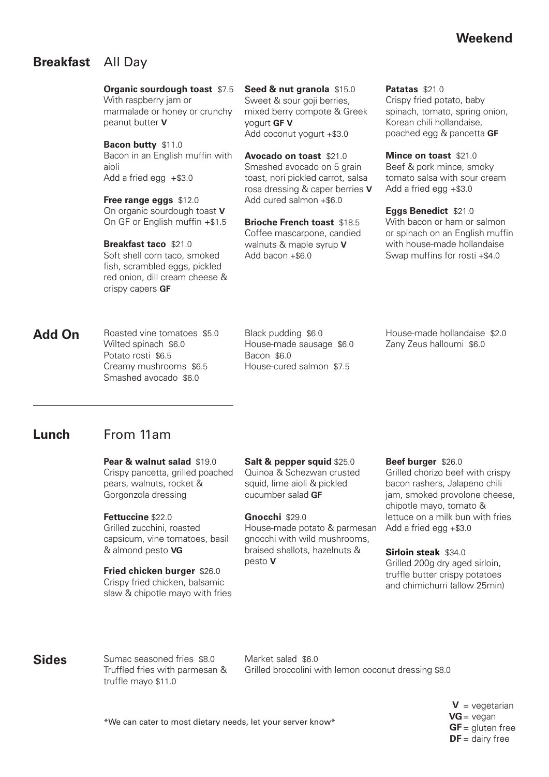# **Weekend**

# **Breakfast** All Day

**Organic sourdough toast** \$7.5 With raspberry jam or

marmalade or honey or crunchy peanut butter **V**

**Bacon butty** \$11.0 Bacon in an English muffin with aioli Add a fried egg  $+$ \$3.0

**Free range eggs** \$12.0 On organic sourdough toast **V** On GF or English muffin +\$1.5

**Breakfast taco** \$21.0 Soft shell corn taco, smoked fish, scrambled eggs, pickled red onion, dill cream cheese & crispy capers **GF**

**Seed & nut granola** \$15.0 Sweet & sour goji berries, mixed berry compote & Greek yogurt **GF V** Add coconut yogurt +\$3.0

**Avocado on toast** \$21.0 Smashed avocado on 5 grain toast, nori pickled carrot, salsa rosa dressing & caper berries **V** Add cured salmon +\$6.0

**Brioche French toast** \$18.5 Coffee mascarpone, candied walnuts & maple syrup **V** Add bacon +\$6.0

**Patatas** \$21.0 Crispy fried potato, baby spinach, tomato, spring onion, Korean chili hollandaise, poached egg & pancetta **GF**

**Mince on toast** \$21.0 Beef & pork mince, smoky tomato salsa with sour cream Add a fried egg +\$3.0

**Eggs Benedict** \$21.0 With bacon or ham or salmon or spinach on an English muffin with house-made hollandaise Swap muffins for rosti +\$4.0

Roasted vine tomatoes \$5.0 Wilted spinach \$6.0 Potato rosti \$6.5 Creamy mushrooms \$6.5 Smashed avocado \$6.0 **Add On**

Black pudding \$6.0 House-made sausage \$6.0 Bacon \$6.0 House-cured salmon \$7.5

House-made hollandaise \$2.0 Zany Zeus halloumi \$6.0

#### From 11am **Lunch**

**Pear & walnut salad** \$19.0 Crispy pancetta, grilled poached pears, walnuts, rocket & Gorgonzola dressing

**Fettuccine** \$22.0 Grilled zucchini, roasted capsicum, vine tomatoes, basil & almond pesto **VG** 

**Fried chicken burger** \$26.0 Crispy fried chicken, balsamic slaw & chipotle mayo with fries **Salt & pepper squid** \$25.0 Quinoa & Schezwan crusted squid, lime aioli & pickled cucumber salad **GF** 

**Gnocchi** \$29.0 House-made potato & parmesan gnocchi with wild mushrooms, braised shallots, hazelnuts & pesto **V**

### **Beef burger** \$26.0

Grilled chorizo beef with crispy bacon rashers, Jalapeno chili jam, smoked provolone cheese, chipotle mayo, tomato & lettuce on a milk bun with fries Add a fried egg +\$3.0

**Sirloin steak** \$34.0

Grilled 200g dry aged sirloin, truffle butter crispy potatoes and chimichurri (allow 25min)

# **Sides**

Sumac seasoned fries \$8.0 Truffled fries with parmesan & truffle mayo \$11.0

Market salad \$6.0 Grilled broccolini with lemon coconut dressing \$8.0

> $V = v$ egetarian  $VG = v$ egan  $GF =$  gluten free  $DF =$  dairy free

\*We can cater to most dietary needs, let your server know\*